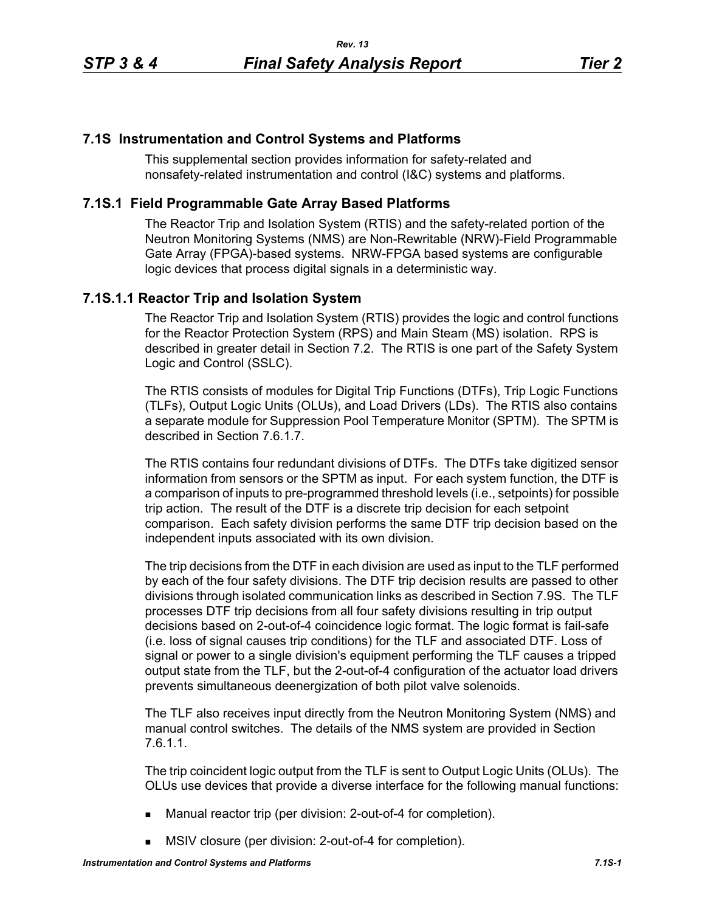# **7.1S Instrumentation and Control Systems and Platforms**

This supplemental section provides information for safety-related and nonsafety-related instrumentation and control (I&C) systems and platforms.

# **7.1S.1 Field Programmable Gate Array Based Platforms**

The Reactor Trip and Isolation System (RTIS) and the safety-related portion of the Neutron Monitoring Systems (NMS) are Non-Rewritable (NRW)-Field Programmable Gate Array (FPGA)-based systems. NRW-FPGA based systems are configurable logic devices that process digital signals in a deterministic way.

# **7.1S.1.1 Reactor Trip and Isolation System**

The Reactor Trip and Isolation System (RTIS) provides the logic and control functions for the Reactor Protection System (RPS) and Main Steam (MS) isolation. RPS is described in greater detail in Section 7.2. The RTIS is one part of the Safety System Logic and Control (SSLC).

The RTIS consists of modules for Digital Trip Functions (DTFs), Trip Logic Functions (TLFs), Output Logic Units (OLUs), and Load Drivers (LDs). The RTIS also contains a separate module for Suppression Pool Temperature Monitor (SPTM). The SPTM is described in Section 7.6.1.7.

The RTIS contains four redundant divisions of DTFs. The DTFs take digitized sensor information from sensors or the SPTM as input. For each system function, the DTF is a comparison of inputs to pre-programmed threshold levels (i.e., setpoints) for possible trip action. The result of the DTF is a discrete trip decision for each setpoint comparison. Each safety division performs the same DTF trip decision based on the independent inputs associated with its own division.

The trip decisions from the DTF in each division are used as input to the TLF performed by each of the four safety divisions. The DTF trip decision results are passed to other divisions through isolated communication links as described in Section 7.9S. The TLF processes DTF trip decisions from all four safety divisions resulting in trip output decisions based on 2-out-of-4 coincidence logic format. The logic format is fail-safe (i.e. loss of signal causes trip conditions) for the TLF and associated DTF. Loss of signal or power to a single division's equipment performing the TLF causes a tripped output state from the TLF, but the 2-out-of-4 configuration of the actuator load drivers prevents simultaneous deenergization of both pilot valve solenoids.

The TLF also receives input directly from the Neutron Monitoring System (NMS) and manual control switches. The details of the NMS system are provided in Section 7.6.1.1.

The trip coincident logic output from the TLF is sent to Output Logic Units (OLUs). The OLUs use devices that provide a diverse interface for the following manual functions:

- Manual reactor trip (per division: 2-out-of-4 for completion).
- **MSIV** closure (per division: 2-out-of-4 for completion).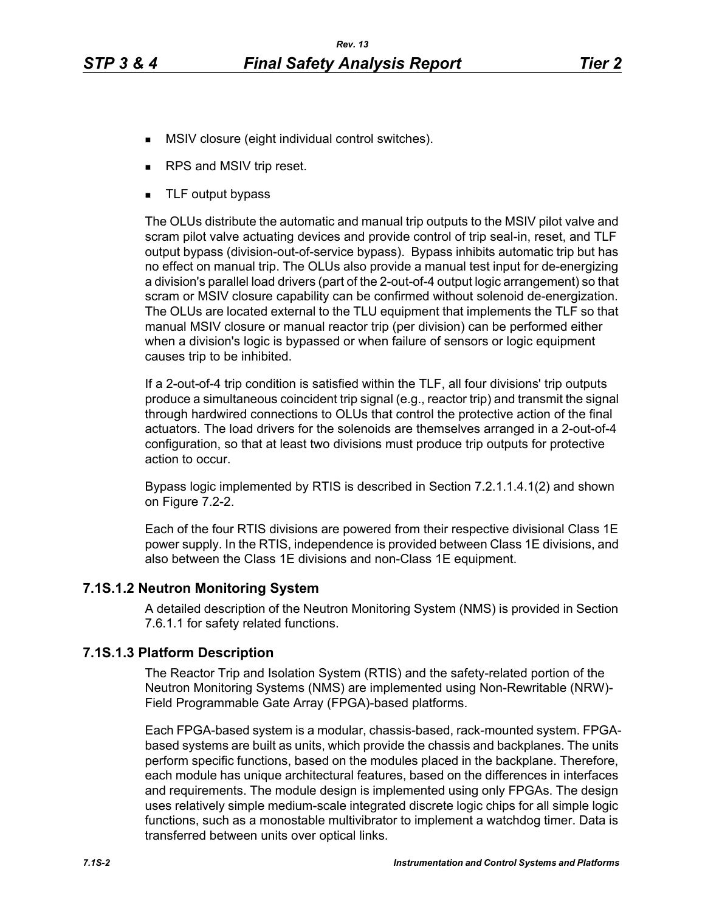- **MSIV** closure (eight individual control switches).
- RPS and MSIV trip reset.
- **TLF** output bypass

The OLUs distribute the automatic and manual trip outputs to the MSIV pilot valve and scram pilot valve actuating devices and provide control of trip seal-in, reset, and TLF output bypass (division-out-of-service bypass). Bypass inhibits automatic trip but has no effect on manual trip. The OLUs also provide a manual test input for de-energizing a division's parallel load drivers (part of the 2-out-of-4 output logic arrangement) so that scram or MSIV closure capability can be confirmed without solenoid de-energization. The OLUs are located external to the TLU equipment that implements the TLF so that manual MSIV closure or manual reactor trip (per division) can be performed either when a division's logic is bypassed or when failure of sensors or logic equipment causes trip to be inhibited.

If a 2-out-of-4 trip condition is satisfied within the TLF, all four divisions' trip outputs produce a simultaneous coincident trip signal (e.g., reactor trip) and transmit the signal through hardwired connections to OLUs that control the protective action of the final actuators. The load drivers for the solenoids are themselves arranged in a 2-out-of-4 configuration, so that at least two divisions must produce trip outputs for protective action to occur.

Bypass logic implemented by RTIS is described in Section 7.2.1.1.4.1(2) and shown on Figure 7.2-2.

Each of the four RTIS divisions are powered from their respective divisional Class 1E power supply. In the RTIS, independence is provided between Class 1E divisions, and also between the Class 1E divisions and non-Class 1E equipment.

### **7.1S.1.2 Neutron Monitoring System**

A detailed description of the Neutron Monitoring System (NMS) is provided in Section 7.6.1.1 for safety related functions.

### **7.1S.1.3 Platform Description**

The Reactor Trip and Isolation System (RTIS) and the safety-related portion of the Neutron Monitoring Systems (NMS) are implemented using Non-Rewritable (NRW)- Field Programmable Gate Array (FPGA)-based platforms.

Each FPGA-based system is a modular, chassis-based, rack-mounted system. FPGAbased systems are built as units, which provide the chassis and backplanes. The units perform specific functions, based on the modules placed in the backplane. Therefore, each module has unique architectural features, based on the differences in interfaces and requirements. The module design is implemented using only FPGAs. The design uses relatively simple medium-scale integrated discrete logic chips for all simple logic functions, such as a monostable multivibrator to implement a watchdog timer. Data is transferred between units over optical links.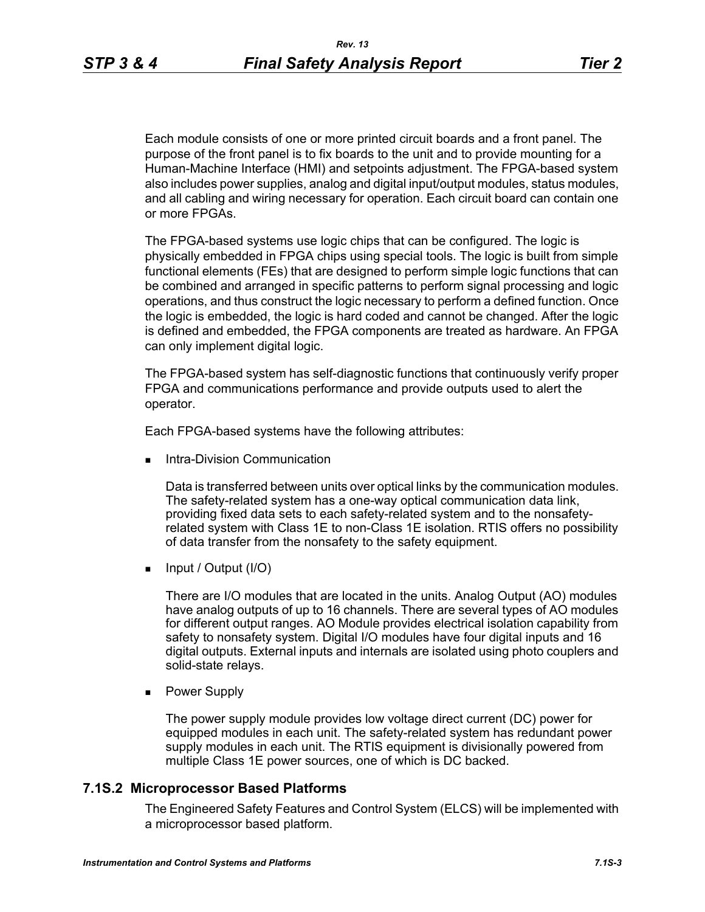Each module consists of one or more printed circuit boards and a front panel. The purpose of the front panel is to fix boards to the unit and to provide mounting for a Human-Machine Interface (HMI) and setpoints adjustment. The FPGA-based system also includes power supplies, analog and digital input/output modules, status modules, and all cabling and wiring necessary for operation. Each circuit board can contain one or more FPGAs.

The FPGA-based systems use logic chips that can be configured. The logic is physically embedded in FPGA chips using special tools. The logic is built from simple functional elements (FEs) that are designed to perform simple logic functions that can be combined and arranged in specific patterns to perform signal processing and logic operations, and thus construct the logic necessary to perform a defined function. Once the logic is embedded, the logic is hard coded and cannot be changed. After the logic is defined and embedded, the FPGA components are treated as hardware. An FPGA can only implement digital logic.

The FPGA-based system has self-diagnostic functions that continuously verify proper FPGA and communications performance and provide outputs used to alert the operator.

Each FPGA-based systems have the following attributes:

Intra-Division Communication

Data is transferred between units over optical links by the communication modules. The safety-related system has a one-way optical communication data link, providing fixed data sets to each safety-related system and to the nonsafetyrelated system with Class 1E to non-Class 1E isolation. RTIS offers no possibility of data transfer from the nonsafety to the safety equipment.

 $\blacksquare$  Input / Output (I/O)

There are I/O modules that are located in the units. Analog Output (AO) modules have analog outputs of up to 16 channels. There are several types of AO modules for different output ranges. AO Module provides electrical isolation capability from safety to nonsafety system. Digital I/O modules have four digital inputs and 16 digital outputs. External inputs and internals are isolated using photo couplers and solid-state relays.

**Power Supply** 

The power supply module provides low voltage direct current (DC) power for equipped modules in each unit. The safety-related system has redundant power supply modules in each unit. The RTIS equipment is divisionally powered from multiple Class 1E power sources, one of which is DC backed.

#### **7.1S.2 Microprocessor Based Platforms**

The Engineered Safety Features and Control System (ELCS) will be implemented with a microprocessor based platform.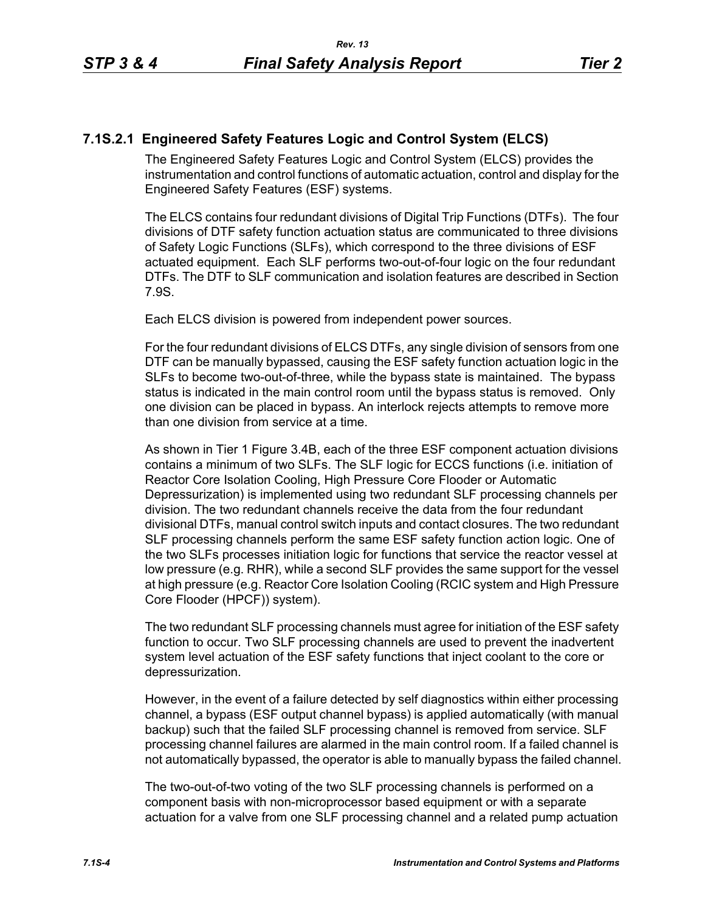# **7.1S.2.1 Engineered Safety Features Logic and Control System (ELCS)**

The Engineered Safety Features Logic and Control System (ELCS) provides the instrumentation and control functions of automatic actuation, control and display for the Engineered Safety Features (ESF) systems.

The ELCS contains four redundant divisions of Digital Trip Functions (DTFs). The four divisions of DTF safety function actuation status are communicated to three divisions of Safety Logic Functions (SLFs), which correspond to the three divisions of ESF actuated equipment. Each SLF performs two-out-of-four logic on the four redundant DTFs. The DTF to SLF communication and isolation features are described in Section 7.9S.

Each ELCS division is powered from independent power sources.

For the four redundant divisions of ELCS DTFs, any single division of sensors from one DTF can be manually bypassed, causing the ESF safety function actuation logic in the SLFs to become two-out-of-three, while the bypass state is maintained. The bypass status is indicated in the main control room until the bypass status is removed. Only one division can be placed in bypass. An interlock rejects attempts to remove more than one division from service at a time.

As shown in Tier 1 Figure 3.4B, each of the three ESF component actuation divisions contains a minimum of two SLFs. The SLF logic for ECCS functions (i.e. initiation of Reactor Core Isolation Cooling, High Pressure Core Flooder or Automatic Depressurization) is implemented using two redundant SLF processing channels per division. The two redundant channels receive the data from the four redundant divisional DTFs, manual control switch inputs and contact closures. The two redundant SLF processing channels perform the same ESF safety function action logic. One of the two SLFs processes initiation logic for functions that service the reactor vessel at low pressure (e.g. RHR), while a second SLF provides the same support for the vessel at high pressure (e.g. Reactor Core Isolation Cooling (RCIC system and High Pressure Core Flooder (HPCF)) system).

The two redundant SLF processing channels must agree for initiation of the ESF safety function to occur. Two SLF processing channels are used to prevent the inadvertent system level actuation of the ESF safety functions that inject coolant to the core or depressurization.

However, in the event of a failure detected by self diagnostics within either processing channel, a bypass (ESF output channel bypass) is applied automatically (with manual backup) such that the failed SLF processing channel is removed from service. SLF processing channel failures are alarmed in the main control room. If a failed channel is not automatically bypassed, the operator is able to manually bypass the failed channel.

The two-out-of-two voting of the two SLF processing channels is performed on a component basis with non-microprocessor based equipment or with a separate actuation for a valve from one SLF processing channel and a related pump actuation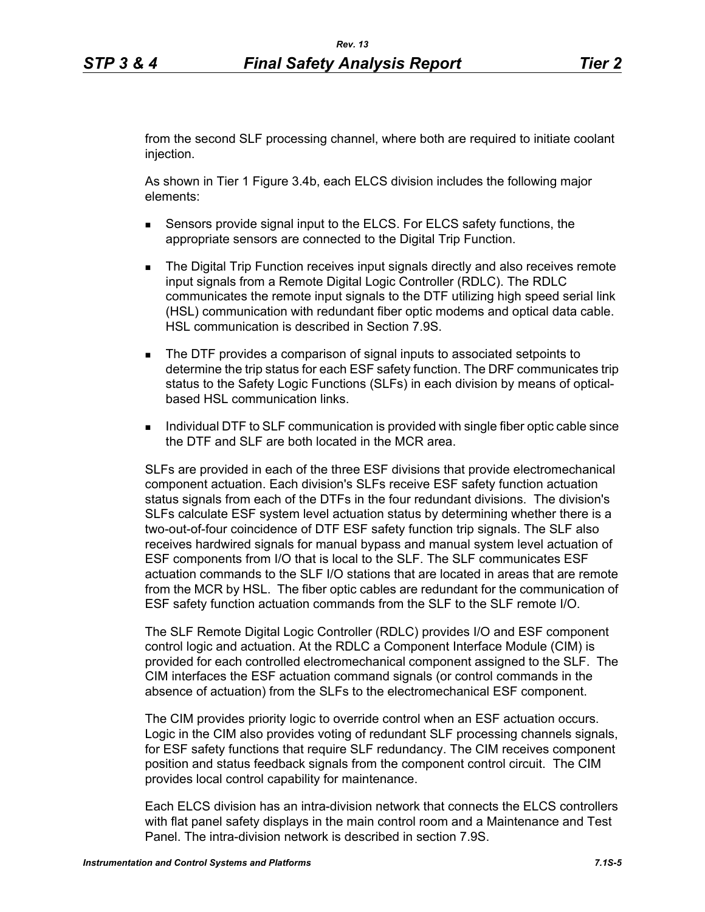from the second SLF processing channel, where both are required to initiate coolant injection.

As shown in Tier 1 Figure 3.4b, each ELCS division includes the following major elements:

- Sensors provide signal input to the ELCS. For ELCS safety functions, the appropriate sensors are connected to the Digital Trip Function.
- **The Digital Trip Function receives input signals directly and also receives remote** input signals from a Remote Digital Logic Controller (RDLC). The RDLC communicates the remote input signals to the DTF utilizing high speed serial link (HSL) communication with redundant fiber optic modems and optical data cable. HSL communication is described in Section 7.9S.
- The DTF provides a comparison of signal inputs to associated setpoints to determine the trip status for each ESF safety function. The DRF communicates trip status to the Safety Logic Functions (SLFs) in each division by means of opticalbased HSL communication links.
- **Individual DTF to SLF communication is provided with single fiber optic cable since** the DTF and SLF are both located in the MCR area.

SLFs are provided in each of the three ESF divisions that provide electromechanical component actuation. Each division's SLFs receive ESF safety function actuation status signals from each of the DTFs in the four redundant divisions. The division's SLFs calculate ESF system level actuation status by determining whether there is a two-out-of-four coincidence of DTF ESF safety function trip signals. The SLF also receives hardwired signals for manual bypass and manual system level actuation of ESF components from I/O that is local to the SLF. The SLF communicates ESF actuation commands to the SLF I/O stations that are located in areas that are remote from the MCR by HSL. The fiber optic cables are redundant for the communication of ESF safety function actuation commands from the SLF to the SLF remote I/O.

The SLF Remote Digital Logic Controller (RDLC) provides I/O and ESF component control logic and actuation. At the RDLC a Component Interface Module (CIM) is provided for each controlled electromechanical component assigned to the SLF. The CIM interfaces the ESF actuation command signals (or control commands in the absence of actuation) from the SLFs to the electromechanical ESF component.

The CIM provides priority logic to override control when an ESF actuation occurs. Logic in the CIM also provides voting of redundant SLF processing channels signals, for ESF safety functions that require SLF redundancy. The CIM receives component position and status feedback signals from the component control circuit. The CIM provides local control capability for maintenance.

Each ELCS division has an intra-division network that connects the ELCS controllers with flat panel safety displays in the main control room and a Maintenance and Test Panel. The intra-division network is described in section 7.9S.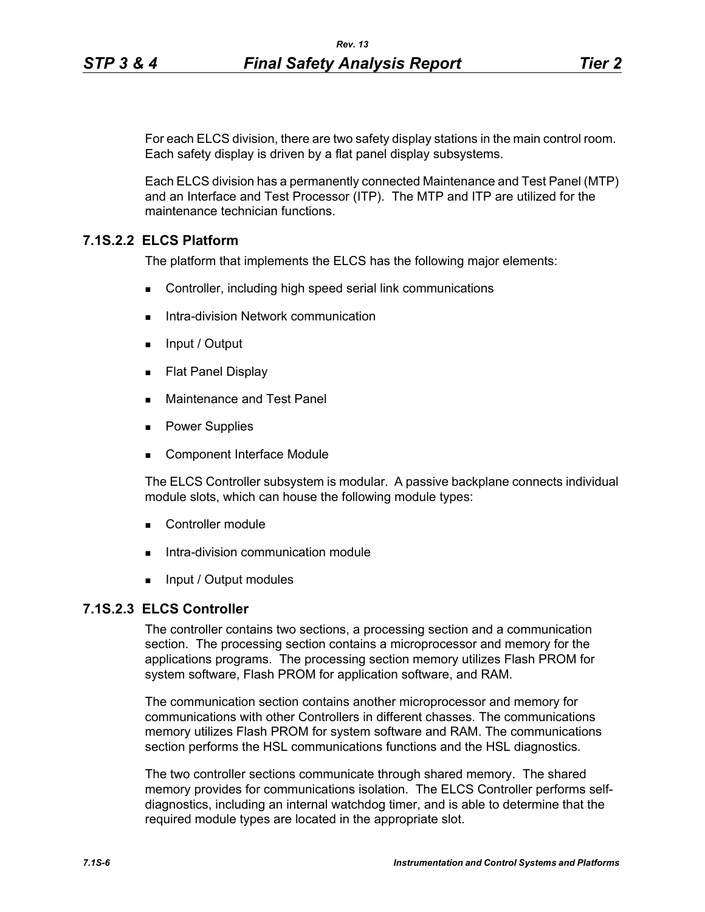For each ELCS division, there are two safety display stations in the main control room. Each safety display is driven by a flat panel display subsystems.

Each ELCS division has a permanently connected Maintenance and Test Panel (MTP) and an Interface and Test Processor (ITP). The MTP and ITP are utilized for the maintenance technician functions.

# **7.1S.2.2 ELCS Platform**

The platform that implements the ELCS has the following major elements:

- Controller, including high speed serial link communications
- Intra-division Network communication
- $\blacksquare$  Input / Output
- **Flat Panel Display**
- **Maintenance and Test Panel**
- **Power Supplies**
- Component Interface Module

The ELCS Controller subsystem is modular. A passive backplane connects individual module slots, which can house the following module types:

- Controller module
- Intra-division communication module
- **Input / Output modules**

# **7.1S.2.3 ELCS Controller**

The controller contains two sections, a processing section and a communication section. The processing section contains a microprocessor and memory for the applications programs. The processing section memory utilizes Flash PROM for system software, Flash PROM for application software, and RAM.

The communication section contains another microprocessor and memory for communications with other Controllers in different chasses. The communications memory utilizes Flash PROM for system software and RAM. The communications section performs the HSL communications functions and the HSL diagnostics.

The two controller sections communicate through shared memory. The shared memory provides for communications isolation. The ELCS Controller performs selfdiagnostics, including an internal watchdog timer, and is able to determine that the required module types are located in the appropriate slot.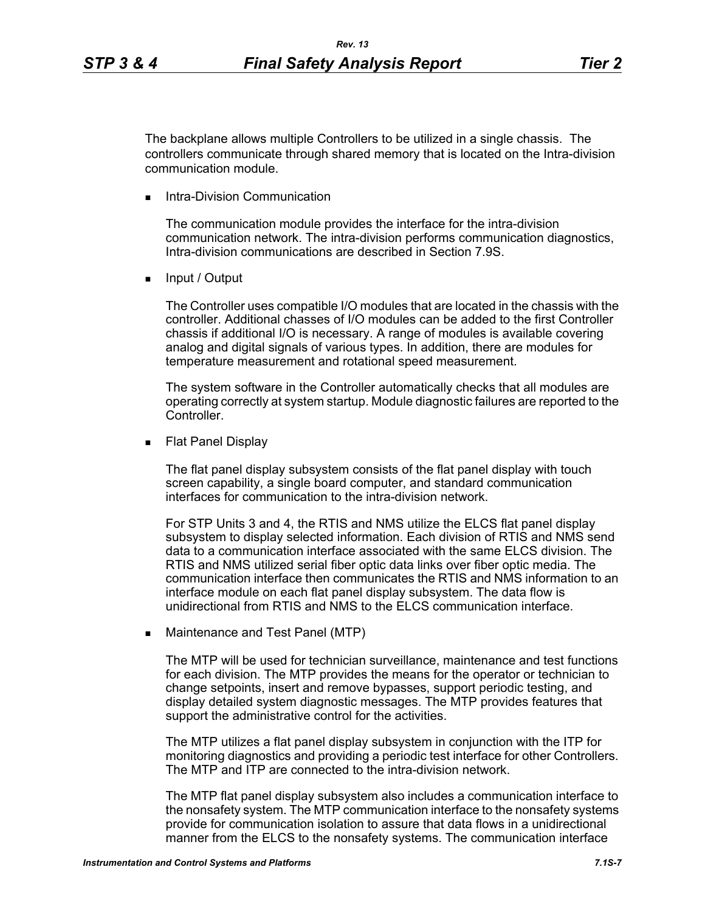The backplane allows multiple Controllers to be utilized in a single chassis. The controllers communicate through shared memory that is located on the Intra-division communication module.

Intra-Division Communication

The communication module provides the interface for the intra-division communication network. The intra-division performs communication diagnostics, Intra-division communications are described in Section 7.9S.

**Input / Output** 

The Controller uses compatible I/O modules that are located in the chassis with the controller. Additional chasses of I/O modules can be added to the first Controller chassis if additional I/O is necessary. A range of modules is available covering analog and digital signals of various types. In addition, there are modules for temperature measurement and rotational speed measurement.

The system software in the Controller automatically checks that all modules are operating correctly at system startup. Module diagnostic failures are reported to the Controller.

**Flat Panel Display** 

The flat panel display subsystem consists of the flat panel display with touch screen capability, a single board computer, and standard communication interfaces for communication to the intra-division network.

For STP Units 3 and 4, the RTIS and NMS utilize the ELCS flat panel display subsystem to display selected information. Each division of RTIS and NMS send data to a communication interface associated with the same ELCS division. The RTIS and NMS utilized serial fiber optic data links over fiber optic media. The communication interface then communicates the RTIS and NMS information to an interface module on each flat panel display subsystem. The data flow is unidirectional from RTIS and NMS to the ELCS communication interface.

**Maintenance and Test Panel (MTP)** 

The MTP will be used for technician surveillance, maintenance and test functions for each division. The MTP provides the means for the operator or technician to change setpoints, insert and remove bypasses, support periodic testing, and display detailed system diagnostic messages. The MTP provides features that support the administrative control for the activities.

The MTP utilizes a flat panel display subsystem in conjunction with the ITP for monitoring diagnostics and providing a periodic test interface for other Controllers. The MTP and ITP are connected to the intra-division network.

The MTP flat panel display subsystem also includes a communication interface to the nonsafety system. The MTP communication interface to the nonsafety systems provide for communication isolation to assure that data flows in a unidirectional manner from the ELCS to the nonsafety systems. The communication interface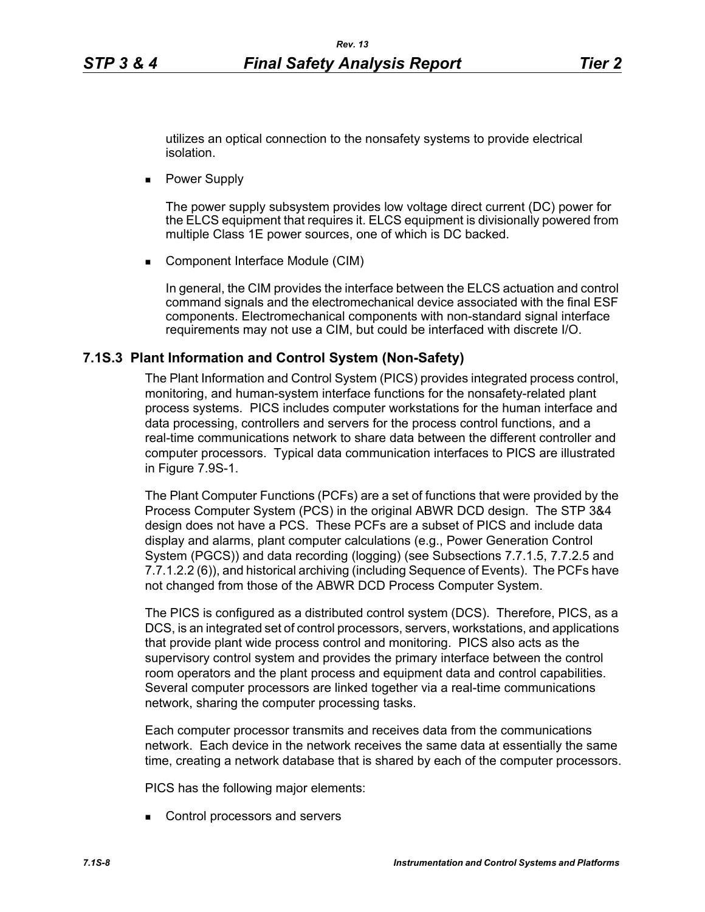utilizes an optical connection to the nonsafety systems to provide electrical isolation.

**Power Supply** 

The power supply subsystem provides low voltage direct current (DC) power for the ELCS equipment that requires it. ELCS equipment is divisionally powered from multiple Class 1E power sources, one of which is DC backed.

■ Component Interface Module (CIM)

In general, the CIM provides the interface between the ELCS actuation and control command signals and the electromechanical device associated with the final ESF components. Electromechanical components with non-standard signal interface requirements may not use a CIM, but could be interfaced with discrete I/O.

### **7.1S.3 Plant Information and Control System (Non-Safety)**

The Plant Information and Control System (PICS) provides integrated process control, monitoring, and human-system interface functions for the nonsafety-related plant process systems. PICS includes computer workstations for the human interface and data processing, controllers and servers for the process control functions, and a real-time communications network to share data between the different controller and computer processors. Typical data communication interfaces to PICS are illustrated in Figure 7.9S-1.

The Plant Computer Functions (PCFs) are a set of functions that were provided by the Process Computer System (PCS) in the original ABWR DCD design. The STP 3&4 design does not have a PCS. These PCFs are a subset of PICS and include data display and alarms, plant computer calculations (e.g., Power Generation Control System (PGCS)) and data recording (logging) (see Subsections 7.7.1.5, 7.7.2.5 and 7.7.1.2.2 (6)), and historical archiving (including Sequence of Events). The PCFs have not changed from those of the ABWR DCD Process Computer System.

The PICS is configured as a distributed control system (DCS). Therefore, PICS, as a DCS, is an integrated set of control processors, servers, workstations, and applications that provide plant wide process control and monitoring. PICS also acts as the supervisory control system and provides the primary interface between the control room operators and the plant process and equipment data and control capabilities. Several computer processors are linked together via a real-time communications network, sharing the computer processing tasks.

Each computer processor transmits and receives data from the communications network. Each device in the network receives the same data at essentially the same time, creating a network database that is shared by each of the computer processors.

PICS has the following major elements:

Control processors and servers